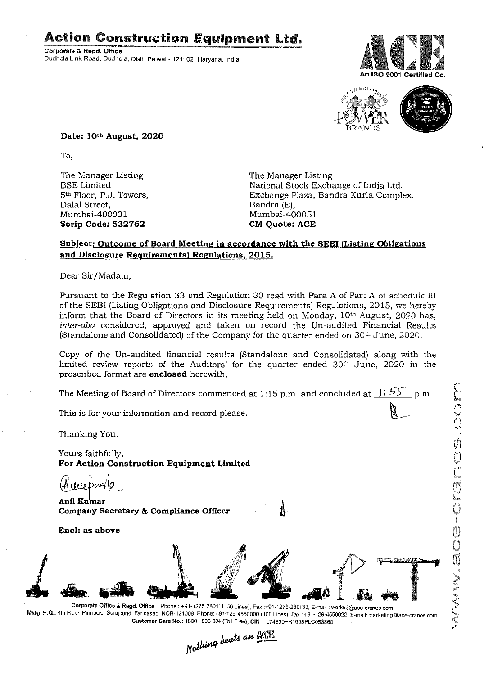# Action Construction Equipment Ltd.

Corporate & Regd. Office Dudhola Link Road, Dudhola, Distt. Palwal - 121102, Haryana, India





 $\sqrt{a}$ 

Date: 10th August, 2020

To,

The Manager Listing BSE Limited 5th Floor, P.J. Towers, Dalal Street, Mumbai-400001 Scrip Code: 532762

The Manager Listing National Stock Exchange of India Ltd, Exchange Plaza, Bandra Kurla Complex, Bandra (E), Mumbai-400051 CM Quote: ACE

### Subject: Outcome of Board Meeting in accordance with the SEBI (Listing Obligations and Disclosure Requirements) Regulations, 2015.

Dear Sir/Madam,

Pursuant to the Regulation 33 and Regulation 30 read with Para A of Part A of schedule III of the SEBI (Listing Obligations and Disclosure Requirements) Regulations, 2015, we hereby inform that the Board of Directors in its meeting held on Monday,  $10<sup>th</sup>$  August, 2020 has, *inter-alia* considered, approved and taken on record the Un-audited Financial Results (Standalone and Consolidated) of the Company for the quarter ended on  $30<sup>th</sup>$  June, 2020.

Copy of the Un-audited financial results (Standalone and Consolidated) along with the limited review reports of the Auditors' for the quarter ended  $30<sup>th</sup>$  June, 2020 in the prescribed format are enclosed herewith.

The Meeting of Board of Directors commenced at 1:15 p.m. and concluded at  $\frac{1:55}{}$  p.m.

This is for your information and record please.

Thanking You.

Yours faithfully, For Action Construction Equipment Limited

 $1000$  phs

Anil Kumar Company Secretary & Compliance Officer

Enc1:as above



Corporate Office & Regd. Office: Phone: +91-1275-280111(50 Lines), Fax:+91-1275-280133, E-mail: works2@ace-cranes.com Mktg. H.Q.: 4th Floor, Pinnacle, Surajkund, Faridabad, NCR-121009, Phone: +91-129-4550000 (100 Lines), Fax: +91-129,4550022, E-mail: marketing@ace-cranes.com

Customer Care No.: 1800 1800 004 (Toll Free), CIN: L74899HR1995PLC053860<br>Mathima beats an **Mathima**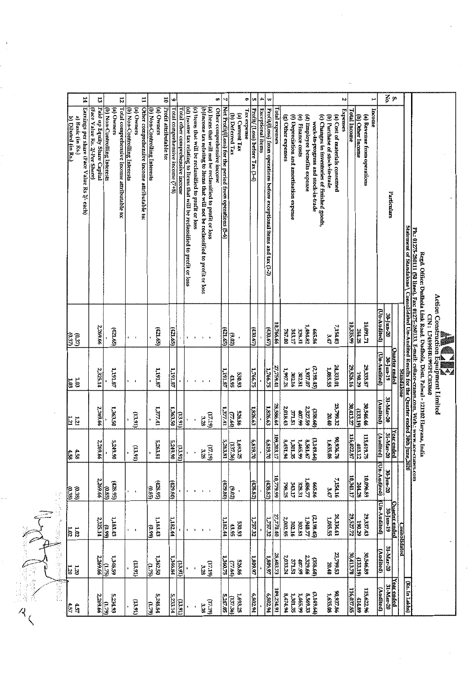|                                                                     |                                          | 14                                          |                               | $\overline{\mathbf{c}}$      |                                             | 2                                           |                               |                | Ħ                                           |                               |              | 5                       | O                                |                                  |                                                                              |                                                       |                                                                                 |                                                           | œ                          | 4                                                      |                  |                 | ō           | ហ                               | $\blacksquare$           | $\pmb{\omega}$                                                       |                  |                     |                                           |                   |                               |                                     |                                               |                                |                                | N               |                     |                  | ۳                           |                  | No.       | ò.                      |                     |                                                                                                                                                                                                         |                                                                           |                            |                                       |  |
|---------------------------------------------------------------------|------------------------------------------|---------------------------------------------|-------------------------------|------------------------------|---------------------------------------------|---------------------------------------------|-------------------------------|----------------|---------------------------------------------|-------------------------------|--------------|-------------------------|----------------------------------|----------------------------------|------------------------------------------------------------------------------|-------------------------------------------------------|---------------------------------------------------------------------------------|-----------------------------------------------------------|----------------------------|--------------------------------------------------------|------------------|-----------------|-------------|---------------------------------|--------------------------|----------------------------------------------------------------------|------------------|---------------------|-------------------------------------------|-------------------|-------------------------------|-------------------------------------|-----------------------------------------------|--------------------------------|--------------------------------|-----------------|---------------------|------------------|-----------------------------|------------------|-----------|-------------------------|---------------------|---------------------------------------------------------------------------------------------------------------------------------------------------------------------------------------------------------|---------------------------------------------------------------------------|----------------------------|---------------------------------------|--|
|                                                                     | a) Basic (in Rs.)<br>b) Diluted (in Rs.) | Earnings per share (Face Value Rs 2/- each) | (Face Value Rs. 2/-Per Share) | Paid up Equity Share Capital | (a) Owners<br>(b) Non-Controlling Interests | Total comprehensive income attributable to: | (b) Non-Controlling Interests | (a) Owners     | Other comprehensive income attributable to: | (b) Non-Controlling Interests | (a) Owners   | Profit attributable to: | Total comprehensive income (7+8) | Total other comprehensive income | (d) Income tax relating to Items that will be reclassified to profit or loss | (c) Items that will be reclassified to profit or loss | (b)Income tax relating to Items that will not be reclassified to profit or loss | (a) Items that will not be reclassified to profit or loss | Other comprehensive income | Net Profit/(Loss) for the period from operations (5-6) | (b) Deferred Tax | (a) Current Tax | Tax expense | Profit/ (Loss) before Tax (3-4) | <b>Exceptional items</b> | Profit/(Loss) from operations before exceptional items and tax (1-2) | Total expenses   | (g) Other expenses  | (f) Depreciation and amortisation expense | (e) Finance costs | (d) Employee benefits expense | work-in-progress and stock-in-trade | (c) Changes in inventories of finished goods, | (b) Purchase of stock-in-trade | (a) Cost of materials consumed | <b>Expenses</b> | <b>Total Income</b> | (b) Other Income | (a) Revenue from operations | Income           |           | Particulars             |                     | . Fh.: 01275-280111 (50 lines), Fax: 01275-280133. E-mail: cs@ace-cranes.com, Web.: www.ace-cranes.com<br>Statement of Standalone\ Consolidated Un-Audited Results for the Quarter ended 30th June,2020 | Regd. Office: Dudhola Link Road, Dudhola, Distt. Palwal - 121102 Haryana, |                            |                                       |  |
|                                                                     | (0.37)<br>(137)                          |                                             |                               | 2,269.66                     | (421.65)                                    |                                             |                               |                |                                             |                               | (421.65)     |                         | (421.65)                         |                                  | $\mathbf{1}$                                                                 |                                                       |                                                                                 |                                                           |                            | (421.65)                                               | (9.02)           |                 |             | (4.30.67)                       |                          | (430.67)                                                             | 10,766.66        | 787.00              | 343.17                                    | 328.31            | 1,484.82                      | 665.86                              |                                               | 3.47                           | 7,154.03                       |                 | 10,335.99           | 244.28           | <b>ISO,01.71</b>            | (Un-Audited)     | 30-Jun-20 |                         |                     |                                                                                                                                                                                                         |                                                                           |                            | Action Construction Equipment Limited |  |
|                                                                     | ΩΩ<br>1.03                               |                                             |                               | 2,325.14                     | 1,191.87                                    |                                             |                               |                |                                             |                               | 1,191.87     |                         | 1,191.87                         |                                  |                                                                              |                                                       |                                                                                 |                                                           |                            | 1,191.87                                               | 43,95            | 530.93          |             | 1,766.75                        |                          | 1,766.75                                                             | 17,759.41        | 1,997.26            | 30216                                     | 18706             | 1,937.07                      | (2,198.45)                          |                                               | 1,085.55                       | 24,333.01                      |                 | 29,526.16           | 190.29           | 29,335.87                   | (Un-Audited)     | 30-Jun-19 | Quarter ended           | <b>Standalone</b>   |                                                                                                                                                                                                         |                                                                           | CIN: L74899HR1995PLC053860 |                                       |  |
|                                                                     | 1.21<br>1.21                             |                                             |                               | 2,269.66                     | 1,363.50                                    |                                             |                               | (13.91)        |                                             |                               | 1,377.41     |                         | 1,363.50                         | (13.91)                          |                                                                              |                                                       | 3.28                                                                            | (51219)                                                   |                            | 1.377.41                                               | (77.64)          | 526.86          |             | 1,826.63                        |                          | 1,826,63                                                             | 28,586.64        | 2,018.43            | 371.51                                    | 407.99            | 2,327.59                      | (358.60)                            |                                               | 20.40                          | 23,799.32                      |                 | 30,413.27           | (133.19)         | 30,546.46                   | (Audited)        | 31-Mar-20 |                         |                     |                                                                                                                                                                                                         |                                                                           |                            |                                       |  |
|                                                                     | 4.58                                     |                                             |                               | 2,269.66                     | ξUΙ<br><b>D6'672'</b>                       |                                             |                               | (13.91)        |                                             |                               | ζn<br>263.81 |                         | Įсп<br><b>D6'6BZ</b>             | (13.91)                          |                                                                              |                                                       | $\frac{(17.19)}{3.28}$                                                          |                                                           |                            | إ ي<br>263.81                                          | (35.36)          | 1,693.25        |             | Ğ,<br><b>979.70</b>             |                          | 6,819.70                                                             | 109,203.17       | ç,<br><b>151,94</b> | 1,301.35                                  | 66.391'           | مع<br>561.67                  | ίũ,<br>149.64                       |                                               | سر<br>635.08                   | 82'936'06                      |                 | 116,022.87          | 403.12           | ΞĘ,<br>519.75               | (Audited)        |           | Year ended<br>31-Mar-20 |                     |                                                                                                                                                                                                         | India                                                                     |                            |                                       |  |
| 经营业                                                                 | (953)<br>(0.38)                          |                                             |                               | 2,269.66                     | (428.95)<br>(0.85)                          |                                             | $\blacksquare$                | $\blacksquare$ |                                             | (0.85)                        | (428.95)     |                         | (429.80)                         |                                  |                                                                              |                                                       |                                                                                 |                                                           |                            | (429.80)                                               | (9.02)           |                 |             | (438.82)                        |                          | (438.82)                                                             | 66'6'4'01        | 798.25              | 343.17                                    | 328.31            | 1,486.77                      | 665.86                              |                                               | 3.47                           | 7,154.16                       |                 | 10,341.17           | 244.28           | 68'960'01                   | (Un-Audited)     | 30-Jun-20 |                         |                     |                                                                                                                                                                                                         |                                                                           |                            |                                       |  |
| $\frac{1}{2}$<br>,                                                  | $\frac{1.62}{1.62}$                      |                                             |                               | 2,325.14                     | 1,183.43<br>660                             |                                             | $\mathbf{I}$                  |                |                                             | (0.99)                        | 1,183.43     |                         | 1,182.44                         |                                  | $\mathbf{I}$                                                                 |                                                       |                                                                                 |                                                           |                            | <b>1,182.44</b>                                        | 43.95            | 530.93          |             | 1,757.32                        |                          | 1,757.32                                                             | <b>OF DZZ'ZZ</b> | 2,002.95            | 30216                                     | 302.81            | 1,940.77                      | (2,198.45)                          |                                               | 1,085.55                       | 14,334.61                      |                 | 29,527.72           | 190.29           | 29,337.43                   | (Un Audited)     | 30-Jun-19 | <u>Ouarter ended</u>    |                     |                                                                                                                                                                                                         |                                                                           |                            |                                       |  |
| <b>The Model of the Second Contract of the Second Second Second</b> | $\frac{1.20}{1.20}$                      |                                             |                               | 2,269.66                     | 1,348.59<br>(1.75)                          |                                             |                               | (13.91)        |                                             | (1.75)                        | 1,362.50     |                         | 1,346.84                         | (13.91)                          |                                                                              |                                                       |                                                                                 | $(17.19)$<br>3.28                                         |                            | $\frac{(77.64)}{1,360.75}$                             |                  | 526.86          |             | 1,809.97                        |                          | 1,809.97                                                             | 28,603.73        | 2,033.24            | 371.51                                    | 407.99            | 2,329.66                      | (358.60)                            |                                               | 20.40                          | 23,799.53                      |                 | 30,413.70           | (133.19)         | 30,546.89                   | <u>(Audited)</u> |           | 31-Mar-20               | <b>Consolidated</b> |                                                                                                                                                                                                         |                                                                           |                            |                                       |  |
|                                                                     | 4.57<br>4.57                             |                                             |                               | 2,269.66                     | 5,234.93<br>(1.79)                          |                                             |                               | (13.91)        |                                             | $\sqrt{320}$                  | 5,248.84     |                         | 5,233.14                         | (13.91)                          |                                                                              |                                                       |                                                                                 | $\frac{17.19}{3.28}$                                      |                            | 59.747.05                                              | (137.36)         | 1,693.25        |             | 6,802.94                        |                          | 6,802.94                                                             | 109,234.91       | <b>P674.94</b>      | 1,301.35                                  | 1,465.99          | 8,569.33                      | (5,149.64)                          |                                               | 1,635.08                       | 98'432'86                      |                 | 116,037.85          | 414.89           | 115,622.96                  | (Audited)        |           | Year ended<br>31-Mar-20 |                     | (Rs. In Lakhs)                                                                                                                                                                                          |                                                                           |                            |                                       |  |

A CONTROLL

 $\ddot{\phantom{0}}$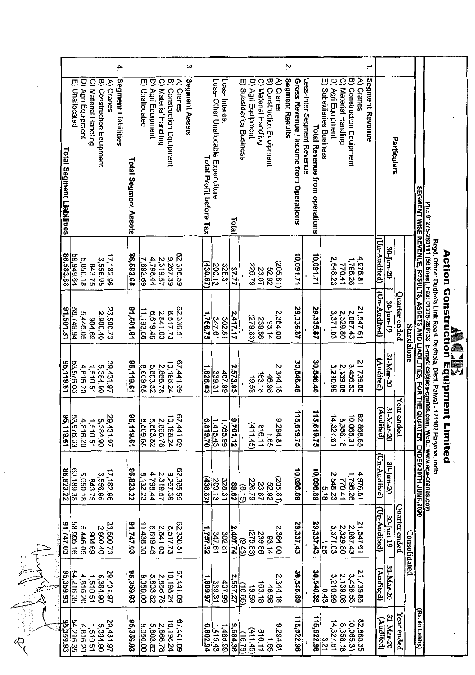| <b>LECHT</b>       |                  |  |
|--------------------|------------------|--|
|                    |                  |  |
|                    |                  |  |
|                    |                  |  |
|                    |                  |  |
| <b>SEPUT</b>       |                  |  |
|                    |                  |  |
|                    |                  |  |
|                    |                  |  |
|                    |                  |  |
|                    |                  |  |
|                    |                  |  |
|                    |                  |  |
|                    |                  |  |
|                    |                  |  |
|                    |                  |  |
| <b>TARGET</b>      | <b>The Sheep</b> |  |
|                    |                  |  |
|                    |                  |  |
|                    | F iii            |  |
|                    |                  |  |
| -    < <br>T       |                  |  |
|                    |                  |  |
|                    |                  |  |
|                    |                  |  |
| $\frac{1}{2}$<br>ï |                  |  |
|                    |                  |  |
|                    |                  |  |
| İ                  |                  |  |
| $\ddot{ }$         |                  |  |

| 96,359.93                  | 95,359.93             | 91,747.03         | 86,823.22                  | 95,119.61            | 95,119.61        | 91,501.81                                                                                                                                                                                           | 86,583.68   | <b>Total Segment Liabilities</b>              |                      |
|----------------------------|-----------------------|-------------------|----------------------------|----------------------|------------------|-----------------------------------------------------------------------------------------------------------------------------------------------------------------------------------------------------|-------------|-----------------------------------------------|----------------------|
| 54,216.35                  | 54,216.35             | 58,995.16         | 60,189.38                  | 53,976.03            | 53,976.03        | 58,749.94                                                                                                                                                                                           | 59,949.84   | o<br>Unallocated                              |                      |
| 4,816.20                   | 4,816.20              | 5,446.05          | 5,050.18                   | 4,816.20             | 4,816.20         | 5,446.05                                                                                                                                                                                            | 5,050.18    | D) Agri Equipment                             |                      |
| 1,510.51                   | 1,510.51              | 69'106            | 843.75                     | 1,510.51             | 1,510.51         | 804.69                                                                                                                                                                                              | 843.75      | C) Material Handling                          |                      |
| 5,384.90                   | 5,384.90              | 2,900.40          | 3,556.95                   | 5,384.90             | 5,384.90         | 2,900.40                                                                                                                                                                                            | 3,556.95    | B) Construction Equipment                     |                      |
| 29,431.97                  | 29,431.97             | 23,500.73         | 17,182.96                  | 29,431.97            | 29,431.97        | 23,500.73                                                                                                                                                                                           | 17,182.96   | A) Cranes                                     |                      |
|                            |                       |                   |                            |                      |                  |                                                                                                                                                                                                     |             | Segment Liabilities                           | 4.                   |
| 95,359.93                  | 95,359.93             | 91,747.03         | 86,823.22                  | 95,119.61            | 95,119.61        | 91,501.81                                                                                                                                                                                           | 86,583.68   | Total Segment Assets                          |                      |
| 9,050.00                   | 9,050.00              | 11,438.30         | 8,132.23                   | 8,809.68             | 8,809.68         | 11,193.08                                                                                                                                                                                           | 7,892.69    | E) Unallocated                                |                      |
| 5,803.82                   | 5,803.82              | 6,619.46          | 4,798.44                   | 5,803.82             | 5,803.82         | 6,619.46                                                                                                                                                                                            | 4,798.44    | D) Agri Equipment                             |                      |
| 2,866.78                   | 2,866.78              | 2,841.03          | 2,319.57                   | 2,866.78             | 2,866.78         | 2,841.03                                                                                                                                                                                            | 2,319.57    | $\circ$<br>Material Handling                  |                      |
| 10,198.24                  | 10, 198.24            | 8,517.73          | 9,267.39                   | 10,198.24            | 10,198.24        | 8,517.73                                                                                                                                                                                            | 9,267.39    | B) Construction Equipment                     |                      |
| 67,441.09                  | 67,441.09             | 62,330.51         | 62,305.59                  | 67 441.09            | 67,441.09        | 62,330.51                                                                                                                                                                                           | 62,305.59   | Segment Assets<br>A) Cranes                   | $\tilde{\mathbf{c}}$ |
| 6,802.94                   | 1,809.97              | 1,757.32          | (438.82)                   | 6.819.70             | 1,826.63         | 1,766.75                                                                                                                                                                                            | (430.67)    | Total Profit before Tax                       |                      |
| 1,415.43                   | 339.31                | 347.61            | 200.13                     | 1,415.43             | 339.31           | 347.61                                                                                                                                                                                              | 200.13      | Less- Other Unallocable Expenditure           |                      |
| 1,465.99                   | 407.99                | 302.81            | 328.31                     | 1,465.99             | 407.99           | 302.81                                                                                                                                                                                              | 328.31      | Less-Interest                                 |                      |
|                            | 2,557.27              | 2,407.74          | 29'68                      | 9,701,12             | 2,573.93         | 2,417.17                                                                                                                                                                                            | 11'16       | Total                                         |                      |
| $\frac{(16.76)}{9,684.36}$ | (16.66)               | (9.43)            | (8.15)                     |                      |                  |                                                                                                                                                                                                     |             | ⊕<br><b>Subsidiaries Business</b>             |                      |
| (411.45)                   | 19.59                 | (279.83)          | 226.79                     | (411.45)             | 89.99            | (279.83)                                                                                                                                                                                            | 226.79      | D) Agri Equipment                             |                      |
| 816.11                     | 163.18                | 239.86            | 23.87                      | 816.11               | 163.18           | 239.86                                                                                                                                                                                              | 23.87       | C) Material Handling                          |                      |
| 1.65                       | 46.98                 | 93.14             | 25.92                      | 1.65                 | 46.98            | 93.14                                                                                                                                                                                               | 25.92       | B) Construction Equipment                     |                      |
| 9,294.81                   | 2,344.18              | 2,364.00          | (205.81)                   | 9,294.81             | 2,344.18         | 2,364.00                                                                                                                                                                                            | (205.81)    | A) Cranes                                     |                      |
|                            |                       |                   |                            |                      |                  |                                                                                                                                                                                                     |             | Segment Results                               | Ņ                    |
| 115,622.96                 | 30,546.89             | 29,337.43         | 10,096.89                  | 15,619.75            | 30,546.46        | 29,335.87                                                                                                                                                                                           | 10,091.71   | Gross Revenue / Income from Operations        |                      |
|                            |                       |                   |                            |                      |                  |                                                                                                                                                                                                     |             | Less-Inter Segment Revenue                    |                      |
| 115,622.96                 | 30,546.89             | 29,337.43         | 10,096.89                  | 15,619.75            | 30,546.46        | 29,335.87                                                                                                                                                                                           | 10,091.71   | Total Revenue from operations                 |                      |
| 3.21                       | 3,210.99<br>0.43      | 3,371.03<br>$-56$ | 2,548.23<br>$rac{5.18}{8}$ | 14,327.61            | 3,210.99         | 3,371.03                                                                                                                                                                                            | 2,548.23    | D) Agri Equipment<br>E) Subsidiaries Business |                      |
| 14,327.61<br>8,358.18      | 2,139.08              | 2,329.80          | 770.41                     | 8,358.18             | 2,139.08         | 2,329.80                                                                                                                                                                                            | 770.41      | C) Material Handling                          |                      |
| 10,065.31                  |                       | 2,087.43          | 1,796.26                   | 10,065.31            | 3,456.53         | 2,087.43                                                                                                                                                                                            | 1,796.26    | B) Construction Equipment                     |                      |
| 82,868.65                  | 21,739.86<br>3,456.53 | 21,547.61         | 4,976.81                   | 82,868.65            | 21,739.86        | 21,547 61                                                                                                                                                                                           | 4,976.81    | A) Cranes                                     |                      |
|                            |                       |                   |                            |                      |                  |                                                                                                                                                                                                     |             | Segment Revenue                               | ÷,                   |
| (Audited)                  | Audited)              | (Un-Audited)      | (Un-Audited)               | (Audited)            | <u>(Audited)</u> | (Un-Audited)                                                                                                                                                                                        | Un-Audited) |                                               |                      |
| 31-Mar-20                  | 31-Mar-20             | 30-Jun-19         | 30-Jun-20                  | یا<br><b>LMar-20</b> | 31-Mar-20        | 90-Jun-19                                                                                                                                                                                           | 30-lun-20   | Particulars                                   |                      |
| Year ended                 |                       | Quarter ended     |                            | Year<br>ended        |                  | Quarter ended                                                                                                                                                                                       |             |                                               |                      |
|                            |                       | Consolidated      |                            |                      |                  | Standalone                                                                                                                                                                                          |             |                                               |                      |
| (Rs. In Lakhs)             |                       |                   |                            |                      |                  | Ph.: 01275-280111 (50 lines), Fax: 01275-280133. E-mail: cs@ace-cranes.com, Web.: www.ace-cranes.com<br>SEGMENT WISE REVENUE, RESULTS, ASSETS AND LIABILITIES, FOR THE QUARTER ENDED 30TH JUNE,2020 |             |                                               |                      |
|                            |                       |                   |                            |                      |                  | Regd. Office: Dudhola Link Road, Dudhola, Distt. Palwal - 121102 Haryana, india                                                                                                                     |             |                                               |                      |
|                            |                       |                   |                            | t Limited            |                  |                                                                                                                                                                                                     |             |                                               |                      |
|                            |                       |                   |                            |                      |                  | Action Construction Equipmen<br>Action Construction Equipmen                                                                                                                                        |             |                                               |                      |

 $\overline{\mathcal{L}}_0$ 

ρ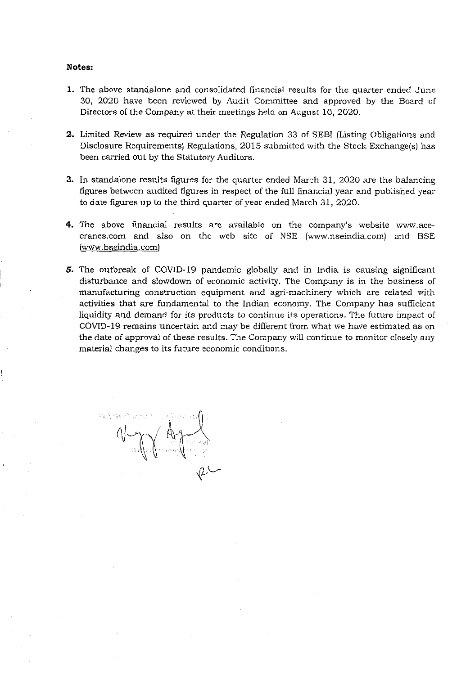#### **Notes:**

- **1.** The above standalone and consolidated financial results for the quarter ended June 30) 2020 have been reviewed by Audit Committee and approved by the Board of Directors of the Company at their meetings held on August 10, 2020.
- **2.** Limited Review as required under the Regulation 33 of SEBI (Listing Obligations and Disclosure Requirements) Regulations, 2015 submitted with the Stock Exchange(s) has been carried out by the Statutory Auditors.
- **3. In** standalone results figures for the quarter ended March 31, 2020 are the balancing figures between audited figures in respect of the full financial year and published year to date figures up to the third quarter of year ended March 31, 2020.
- **4.** The above financial results are available on the company's website www.acecranes. com and also on the web site of NSE (www.nseindia.com) and BSE (www.bseindia.com)
- *s.* The outbreak of COVID-19 pandemic globally and in India is causing significant disturbance and slowdown of economic activity. The Company is in the business of manufacturing construction equipment and agri-machinery which are related with activities that are fundamental to the Indian economy. The Company has sufficient liquidity and demand for its products to continue its operations. The future impact of COVID-19 remains uncertain and may be different from what we have estimated as on the date of approval of these results. The Company will continue to monitor closely any material changes to its future economic conditions.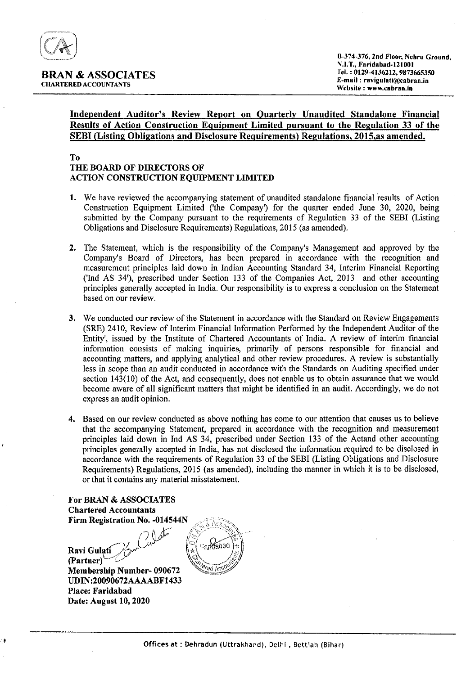

## Independent Auditor's Review Report on Quarterly Unaudited Standalone Financial Results of Action Construction Equipment Limited pursuant to the Regulation 33 of the SEBI (Listing Obligations and Disclosure Requirements) Regulations, 2015, as amended.

### To

# THE BOARD OF DIRECTORS OF ACTION CONSTRUCTION EQUIPMENT LIMITED

- 1. We have reviewed the accompanying statement of unaudited standalone financial results of Action Construction Equipment Limited ('the Company') for the quarter ended June 30, 2020, being submitted by the Company pursuant to the requirements of Regulation 33 of the SEBI (Listing Obligations and Disclosure Requirements) Regulations, 2015 (as amended).
- 2. The Statement, which is the responsibility of the Company's Management and approved by the Company's Board of Directors, has been prepared in accordance with the recognition and measurement principles laid down in Indian Accounting Standard 34, Interim Financial Reporting ('Ind AS 34'), prescribed under Section 133 of the Companies Act, 2013 and other accounting principles generally accepted in India. Our responsibility is to express a conclusion on the Statement based on our review.
- 3. We conducted our review of the Statement in accordance with the Standard on Review Engagements (SRE) 2410, Review of Interim Financial Information Performed by the Independent Auditor of the Entity', issued by the Institute of Chartered Accountants of India. A review of interim financial information consists of making inquiries, primarily of persons responsible for financial and accounting matters, and applying analytical and other review procedures. A review is substantially less in scope than an audit conducted in accordance with the Standards on Auditing specified under section 143(10) of the Act, and consequently, does not enable us to obtain assurance that we would become aware of all significant matters that might be identified in an audit. Accordingly, we do not express an audit opinion.
- 4. Based on our review conducted as above nothing has come to our attention that causes us to believe that the accompanying Statement, prepared in accordance with the recognition and measurement principles laid down in Ind AS 34, prescribed under Section 133 of the Actand other accounting principles generally accepted in India, has not disclosed the information required to be disclosed in accordance with the requirements of Regulation 33 of the SEBI (Listing Obligations and Disclosure Requirements) Regulations, 2015 (as amended), including the manner in which it is to be disclosed, or that it contains any material misstatement.

For BRAN & ASSOCIATES Chartered Accountants

Firm Registration No. -014544N<br> $\bigcap \bigcap \limits_{i}$  $\textbf{Ravi Gulg (} \textbf{Curl} \textbf{Curl} \textbf{Curl} \textbf{Curl} \textbf{Curl} \textbf{Curl} \textbf{Curl} \textbf{Curl} \textbf{Curl} \textbf{Curl} \textbf{Curl} \textbf{Curl} \textbf{Curl} \textbf{Curl} \textbf{Curl} \textbf{Curl} \textbf{Curl} \textbf{Curl} \textbf{Curl} \textbf{Curl} \textbf{Curl} \textbf{Curl} \textbf{Curl} \textbf{Curl} \textbf{Curl} \textbf{Curl} \textbf{Curl} \textbf{Curl} \textbf{Curl} \textbf{Curl}$ Ravi Gulatí<br>(Partner) **Membership Number- 090672**  $\bullet$ UDIN:20090672AAAABF1433 Place: Faridabad Date: August 10,2020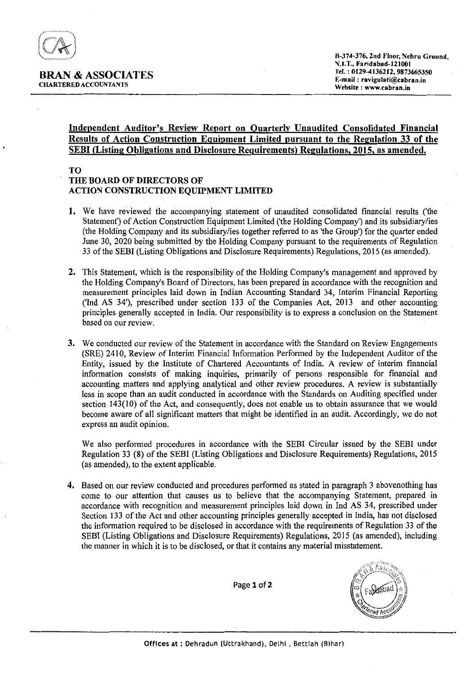

# Independent Auditor's Review Report on Quarterly Unaudited Consolidated Financial Results of Action Construction Equipment Limited pursuant to the Regulation 33 of the SEBI (Listing Obligations and Disclosure Requirements) Regulations. 2015, as amended.

#### TO THE BOARD OF DIRECTORS OF ACTION CONSTRUCTION EQUIPMENT LIMITED

- 1. We have reviewed the accompanying statement of unaudited consolidated financial results ('the Statement') of Action Construction Equipment Limited ('the Holding Company') and its subsidiary/ies (the Holding Company and its subsidiary/ies together referred to as 'the Group') for the quarter ended June 30, 2020 being submitted by the Holding Company pursuant to the requirements of Regulation 33 of the SEBI (Listing Obligations and Disclosure Requirements) Regulations, 2015 (as amended).
- 2. This Statement, which is the responsibility of the Holding Company's management and approved by the Holding Company's Board of Directors, has been prepared in accordance with the recognition and measurement principles laid down in Indian Accounting Standard 34, Interim Financial Reporting ('Ind AS 34'), prescribed under section 133 of the Companies Act, 2013 and other accounting principles generally accepted in India. Our responsibility is to express a conclusion on the Statement based on our review.
- 3. We conducted our review of the Statement in accordance with the Standard on Review Engagements (SRE) 2410, Review of Interim Financial Information Performed by the Independent Auditor of the Entity, issued by the Institute of Chartered Accountants of India. A review of interim financial information consists of making inquiries, primarily of persons responsible for financial and accounting matters and applying analytical and other review procedures. A review is substantially less in scope than an audit conducted in accordance with the Standards on Auditing specified under section 143(10) of the Act, and consequently, does not enable us to obtain assurance that we would become aware of all significant matters that might be identified in an audit. Accordingly, we do not express an audit opinion.

We also performed procedures in accordance with the SEBl Circular issued by the SEBI under Regulation 33 (8) of the SEBI (Listing Obligations and Disclosure Requirements) Regulations, 2015 (as amended), to the extent applicable.

4. Based on our review conducted and procedures performed as stated in paragraph 3 abovenothing has come to our attention that causes us to believe that the accompanying Statement, prepared in accordance with recognition and measurement principles laid down in Ind AS 34, prescribed under Section 133 of the Act and other accounting principles generally accepted in India, has not disclosed the information required to be disclosed in accordance with the requirements of Regulation 33 of the SEBl (Listing Obligations and Disclosure Requirements) Regulations, 2015 (as amended), including the manner in which it is to be disclosed, or that it contains any material misstatement.

Page 1 of 2